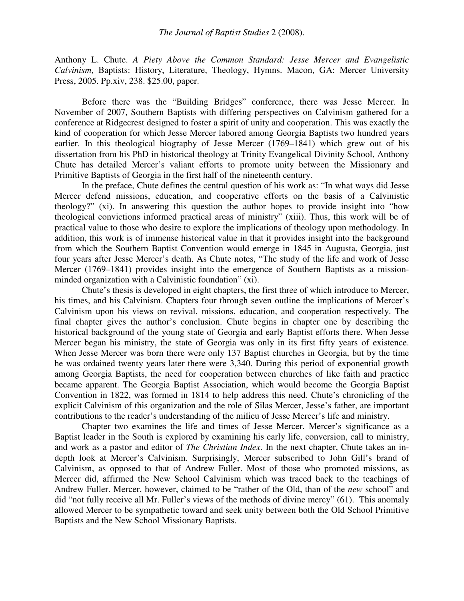Anthony L. Chute. *A Piety Above the Common Standard: Jesse Mercer and Evangelistic Calvinism*, Baptists: History, Literature, Theology, Hymns. Macon, GA: Mercer University Press, 2005. Pp.xiv, 238. \$25.00, paper.

Before there was the "Building Bridges" conference, there was Jesse Mercer. In November of 2007, Southern Baptists with differing perspectives on Calvinism gathered for a conference at Ridgecrest designed to foster a spirit of unity and cooperation. This was exactly the kind of cooperation for which Jesse Mercer labored among Georgia Baptists two hundred years earlier. In this theological biography of Jesse Mercer (1769–1841) which grew out of his dissertation from his PhD in historical theology at Trinity Evangelical Divinity School, Anthony Chute has detailed Mercer's valiant efforts to promote unity between the Missionary and Primitive Baptists of Georgia in the first half of the nineteenth century.

In the preface, Chute defines the central question of his work as: "In what ways did Jesse Mercer defend missions, education, and cooperative efforts on the basis of a Calvinistic theology?" (xi). In answering this question the author hopes to provide insight into "how theological convictions informed practical areas of ministry" (xiii). Thus, this work will be of practical value to those who desire to explore the implications of theology upon methodology. In addition, this work is of immense historical value in that it provides insight into the background from which the Southern Baptist Convention would emerge in 1845 in Augusta, Georgia, just four years after Jesse Mercer's death. As Chute notes, "The study of the life and work of Jesse Mercer (1769–1841) provides insight into the emergence of Southern Baptists as a missionminded organization with a Calvinistic foundation" (xi).

Chute's thesis is developed in eight chapters, the first three of which introduce to Mercer, his times, and his Calvinism. Chapters four through seven outline the implications of Mercer's Calvinism upon his views on revival, missions, education, and cooperation respectively. The final chapter gives the author's conclusion. Chute begins in chapter one by describing the historical background of the young state of Georgia and early Baptist efforts there. When Jesse Mercer began his ministry, the state of Georgia was only in its first fifty years of existence. When Jesse Mercer was born there were only 137 Baptist churches in Georgia, but by the time he was ordained twenty years later there were 3,340. During this period of exponential growth among Georgia Baptists, the need for cooperation between churches of like faith and practice became apparent. The Georgia Baptist Association, which would become the Georgia Baptist Convention in 1822, was formed in 1814 to help address this need. Chute's chronicling of the explicit Calvinism of this organization and the role of Silas Mercer, Jesse's father, are important contributions to the reader's understanding of the milieu of Jesse Mercer's life and ministry.

Chapter two examines the life and times of Jesse Mercer. Mercer's significance as a Baptist leader in the South is explored by examining his early life, conversion, call to ministry, and work as a pastor and editor of *The Christian Index*. In the next chapter, Chute takes an indepth look at Mercer's Calvinism. Surprisingly, Mercer subscribed to John Gill's brand of Calvinism, as opposed to that of Andrew Fuller. Most of those who promoted missions, as Mercer did, affirmed the New School Calvinism which was traced back to the teachings of Andrew Fuller. Mercer, however, claimed to be "rather of the Old, than of the *new* school" and did "not fully receive all Mr. Fuller's views of the methods of divine mercy" (61). This anomaly allowed Mercer to be sympathetic toward and seek unity between both the Old School Primitive Baptists and the New School Missionary Baptists.